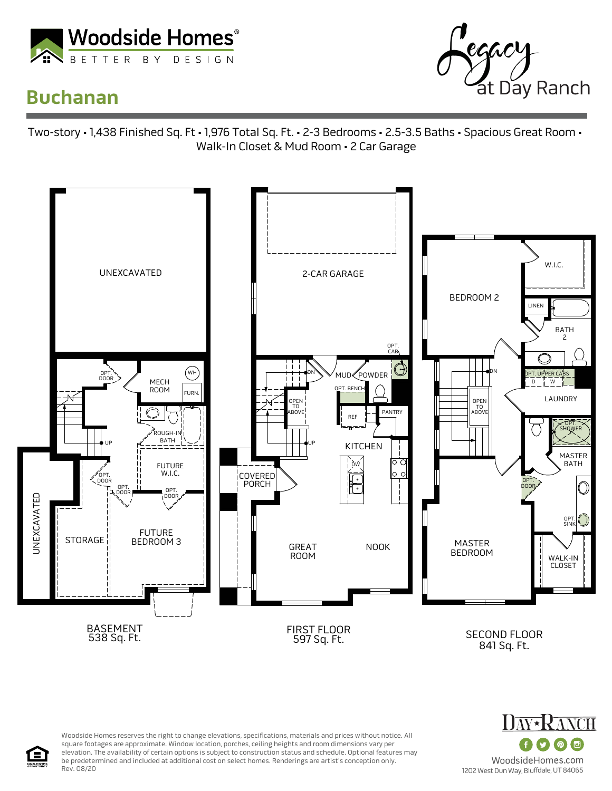

## **Buchanan**



Two-story • 1,438 Finished Sq. Ft • 1,976 Total Sq. Ft. • 2-3 Bedrooms • 2.5-3.5 Baths • Spacious Great Room • Walk-In Closet & Mud Room • 2 Car Garage



Woodside Homes reserves the right to change elevations, specifications, materials and prices without notice. All square footages are approximate. Window location, porches, ceiling heights and room dimensions vary per elevation. The availability of certain options is subject to construction status and schedule. Optional features may be predetermined and included at additional cost on select homes. Renderings are artist's conception only. Rev. 08/20

**PANCH**  $\overline{6}$ WoodsideHomes.com 1202 West Dun Way, Bluffdale, UT 84065